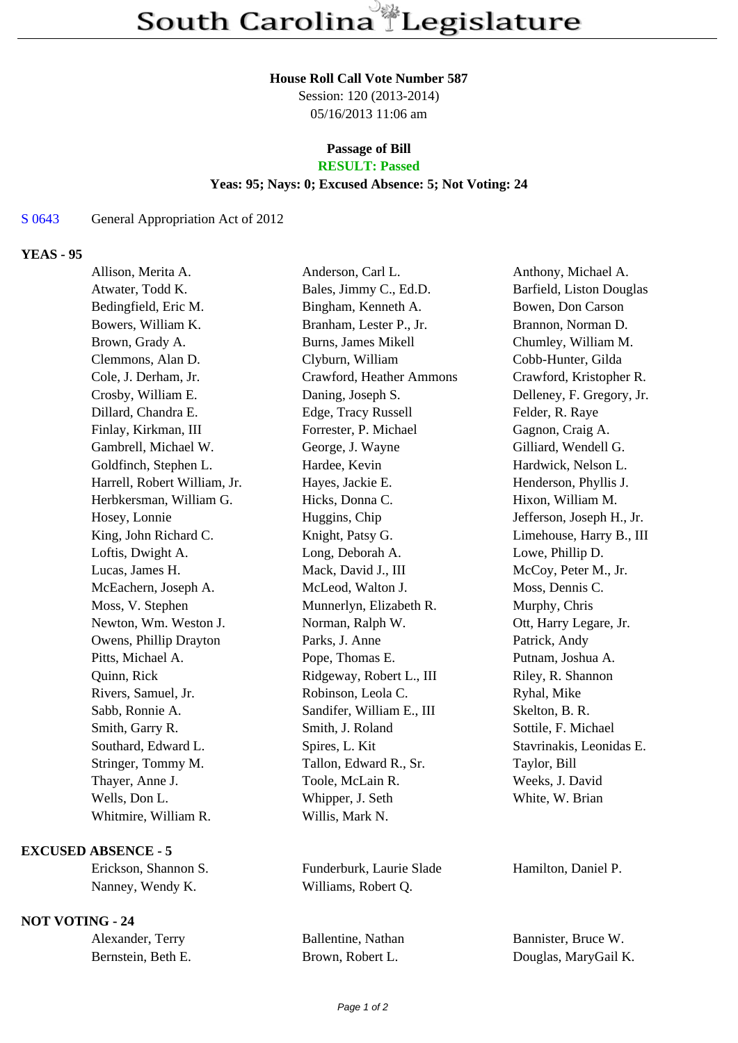## **House Roll Call Vote Number 587**

Session: 120 (2013-2014) 05/16/2013 11:06 am

#### **Passage of Bill RESULT: Passed**

# **Yeas: 95; Nays: 0; Excused Absence: 5; Not Voting: 24**

#### S 0643 General Appropriation Act of 2012

### **YEAS - 95**

| Allison, Merita A.           | Anderson, Carl L.          | Anthony, Michael A.       |
|------------------------------|----------------------------|---------------------------|
| Atwater, Todd K.             | Bales, Jimmy C., Ed.D.     | Barfield, Liston Douglas  |
| Bedingfield, Eric M.         | Bingham, Kenneth A.        | Bowen, Don Carson         |
| Bowers, William K.           | Branham, Lester P., Jr.    | Brannon, Norman D.        |
| Brown, Grady A.              | <b>Burns, James Mikell</b> | Chumley, William M.       |
| Clemmons, Alan D.            | Clyburn, William           | Cobb-Hunter, Gilda        |
| Cole, J. Derham, Jr.         | Crawford, Heather Ammons   | Crawford, Kristopher R.   |
| Crosby, William E.           | Daning, Joseph S.          | Delleney, F. Gregory, Jr. |
| Dillard, Chandra E.          | Edge, Tracy Russell        | Felder, R. Raye           |
| Finlay, Kirkman, III         | Forrester, P. Michael      | Gagnon, Craig A.          |
| Gambrell, Michael W.         | George, J. Wayne           | Gilliard, Wendell G.      |
| Goldfinch, Stephen L.        | Hardee, Kevin              | Hardwick, Nelson L.       |
| Harrell, Robert William, Jr. | Hayes, Jackie E.           | Henderson, Phyllis J.     |
| Herbkersman, William G.      | Hicks, Donna C.            | Hixon, William M.         |
| Hosey, Lonnie                | Huggins, Chip              | Jefferson, Joseph H., Jr. |
| King, John Richard C.        | Knight, Patsy G.           | Limehouse, Harry B., III  |
| Loftis, Dwight A.            | Long, Deborah A.           | Lowe, Phillip D.          |
| Lucas, James H.              | Mack, David J., III        | McCoy, Peter M., Jr.      |
| McEachern, Joseph A.         | McLeod, Walton J.          | Moss, Dennis C.           |
| Moss, V. Stephen             | Munnerlyn, Elizabeth R.    | Murphy, Chris             |
| Newton, Wm. Weston J.        | Norman, Ralph W.           | Ott, Harry Legare, Jr.    |
| Owens, Phillip Drayton       | Parks, J. Anne             | Patrick, Andy             |
| Pitts, Michael A.            | Pope, Thomas E.            | Putnam, Joshua A.         |
| Quinn, Rick                  | Ridgeway, Robert L., III   | Riley, R. Shannon         |
| Rivers, Samuel, Jr.          | Robinson, Leola C.         | Ryhal, Mike               |
| Sabb, Ronnie A.              | Sandifer, William E., III  | Skelton, B. R.            |
| Smith, Garry R.              | Smith, J. Roland           | Sottile, F. Michael       |
| Southard, Edward L.          | Spires, L. Kit             | Stavrinakis, Leonidas E.  |
| Stringer, Tommy M.           | Tallon, Edward R., Sr.     | Taylor, Bill              |
| Thayer, Anne J.              | Toole, McLain R.           | Weeks, J. David           |
| Wells, Don L.                | Whipper, J. Seth           | White, W. Brian           |
| Whitmire, William R.         | Willis, Mark N.            |                           |
|                              |                            |                           |

### **EXCUSED ABSENCE - 5**

# **NOT VOTING - 24**

| Alexander, Terry   |  |  |
|--------------------|--|--|
| Bernstein, Beth E. |  |  |

Erickson, Shannon S. Funderburk, Laurie Slade Hamilton, Daniel P. Nanney, Wendy K. Williams, Robert Q.

Ballentine, Nathan Bannister, Bruce W. Brown, Robert L. Douglas, MaryGail K.